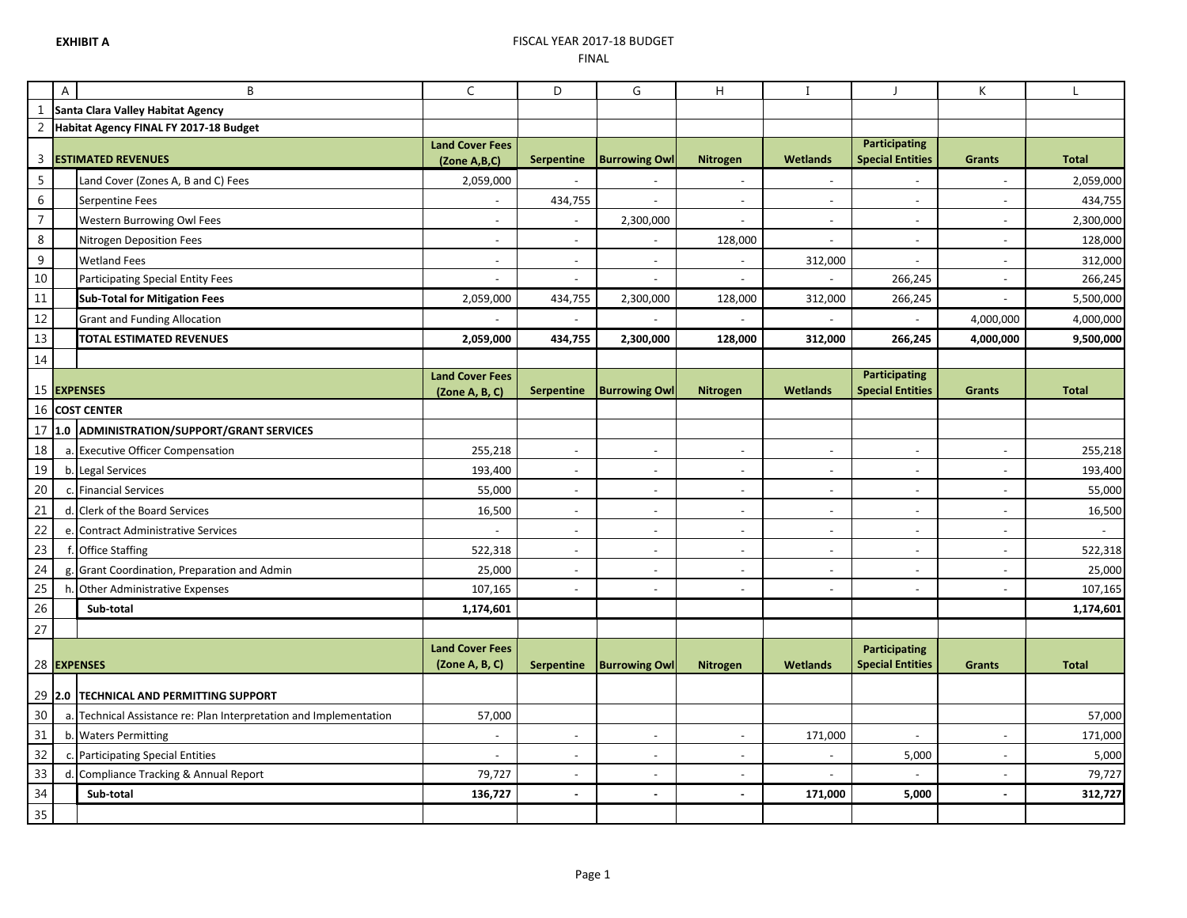## **EXHIBIT A** FISCAL YEAR 2017-18 BUDGET FINAL

|                | $\boldsymbol{\mathsf{A}}$ | B                                                               | $\mathsf{C}$              | D                        | G                        | H                        |                          | J                                               | K                        | L                    |
|----------------|---------------------------|-----------------------------------------------------------------|---------------------------|--------------------------|--------------------------|--------------------------|--------------------------|-------------------------------------------------|--------------------------|----------------------|
|                |                           | Santa Clara Valley Habitat Agency                               |                           |                          |                          |                          |                          |                                                 |                          |                      |
| $\overline{2}$ |                           | Habitat Agency FINAL FY 2017-18 Budget                          |                           |                          |                          |                          |                          |                                                 |                          |                      |
| 3              |                           | <b>ESTIMATED REVENUES</b>                                       | <b>Land Cover Fees</b>    | <b>Serpentine</b>        | <b>Burrowing Owl</b>     | <b>Nitrogen</b>          | <b>Wetlands</b>          | <b>Participating</b><br><b>Special Entities</b> | <b>Grants</b>            | <b>Total</b>         |
| 5              |                           | Land Cover (Zones A, B and C) Fees                              | (Zone A,B,C)<br>2,059,000 | $\sim$                   |                          | ÷,                       | ÷,                       | $\sim$                                          | $\overline{\phantom{a}}$ | 2,059,000            |
| $\,6\,$        |                           | Serpentine Fees                                                 | $\sim$                    |                          | $\sim$                   | $\overline{\phantom{a}}$ | $\overline{a}$           | $\overline{\phantom{a}}$                        | $\overline{\phantom{a}}$ |                      |
| $\overline{7}$ |                           | Western Burrowing Owl Fees                                      | $\sim$                    | 434,755<br>$\sim$        | 2,300,000                | $\blacksquare$           | $\blacksquare$           | $\overline{\phantom{a}}$                        | $\blacksquare$           | 434,755<br>2,300,000 |
| 8              |                           |                                                                 | $\blacksquare$            | $\sim$                   |                          | 128,000                  | $\blacksquare$           | $\blacksquare$                                  | $\blacksquare$           | 128,000              |
| $\overline{9}$ |                           | Nitrogen Deposition Fees<br><b>Wetland Fees</b>                 | $\sim$                    | $\sim$                   | $\sim$                   |                          | 312,000                  |                                                 | $\blacksquare$           | 312,000              |
| 10             |                           | Participating Special Entity Fees                               |                           | $\sim$                   | $\sim$                   | $\overline{a}$           |                          | 266,245                                         | $\sim$                   | 266,245              |
| 11             |                           | <b>Sub-Total for Mitigation Fees</b>                            | 2,059,000                 | 434,755                  | 2,300,000                | 128,000                  | 312,000                  | 266,245                                         |                          | 5,500,000            |
| 12             |                           | <b>Grant and Funding Allocation</b>                             |                           |                          |                          |                          |                          |                                                 | 4,000,000                | 4,000,000            |
| 13             |                           | TOTAL ESTIMATED REVENUES                                        | 2,059,000                 | 434,755                  | 2,300,000                | 128,000                  | 312,000                  | 266,245                                         | 4,000,000                | 9,500,000            |
| 14             |                           |                                                                 |                           |                          |                          |                          |                          |                                                 |                          |                      |
|                |                           |                                                                 | <b>Land Cover Fees</b>    |                          |                          |                          |                          | <b>Participating</b>                            |                          |                      |
|                |                           | 15 EXPENSES                                                     | (Zone A, B, C)            | <b>Serpentine</b>        | <b>Burrowing Owl</b>     | <b>Nitrogen</b>          | <b>Wetlands</b>          | <b>Special Entities</b>                         | <b>Grants</b>            | <b>Total</b>         |
| 16             |                           | <b>COST CENTER</b>                                              |                           |                          |                          |                          |                          |                                                 |                          |                      |
| 17             |                           | 1.0 ADMINISTRATION/SUPPORT/GRANT SERVICES                       |                           |                          |                          |                          |                          |                                                 |                          |                      |
| 18             |                           | a. Executive Officer Compensation                               | 255,218                   | $\sim$                   | $\sim$                   | $\overline{\phantom{a}}$ | $\sim$                   | $\sim$                                          | $\sim$                   | 255,218              |
| 19             |                           | b. Legal Services                                               | 193,400                   | $\blacksquare$           | $\sim$                   | $\blacksquare$           | $\sim$                   | $\sim$                                          | $\sim$                   | 193,400              |
| 20             |                           | c. Financial Services                                           | 55,000                    | $\overline{\phantom{a}}$ | $\overline{\phantom{a}}$ | $\overline{\phantom{a}}$ | $\blacksquare$           | $\overline{\phantom{a}}$                        | $\overline{\phantom{a}}$ | 55,000               |
| 21             |                           | d. Clerk of the Board Services                                  | 16,500                    | $\overline{\phantom{a}}$ | $\overline{\phantom{a}}$ | $\blacksquare$           | $\sim$                   | $\overline{\phantom{a}}$                        | $\overline{\phantom{a}}$ | 16,500               |
| 22             |                           | e. Contract Administrative Services                             |                           | $\sim$                   | $\overline{\phantom{a}}$ | $\blacksquare$           | $\sim$                   | $\overline{\phantom{a}}$                        | $\sim$                   |                      |
| 23             |                           | f. Office Staffing                                              | 522,318                   | $\sim$                   | $\overline{\phantom{a}}$ | $\overline{\phantom{a}}$ | $\overline{\phantom{a}}$ | $\overline{\phantom{a}}$                        | $\overline{\phantom{a}}$ | 522,318              |
| 24             | g.                        | Grant Coordination, Preparation and Admin                       | 25,000                    | $\sim$                   | $\sim$                   | $\blacksquare$           | $\sim$                   | $\sim$                                          | $\sim$                   | 25,000               |
| 25             |                           | h. Other Administrative Expenses                                | 107,165                   | $\sim$                   | $\sim$                   | $\omega$                 | $\sim$                   | $\blacksquare$                                  | $\blacksquare$           | 107,165              |
| 26             |                           | Sub-total                                                       | 1,174,601                 |                          |                          |                          |                          |                                                 |                          | 1,174,601            |
| 27             |                           |                                                                 |                           |                          |                          |                          |                          |                                                 |                          |                      |
|                |                           |                                                                 | <b>Land Cover Fees</b>    |                          |                          |                          |                          | <b>Participating</b>                            |                          |                      |
|                |                           | 28 EXPENSES                                                     | (Zone A, B, C)            | <b>Serpentine</b>        | <b>Burrowing Owl</b>     | Nitrogen                 | Wetlands                 | <b>Special Entities</b>                         | <b>Grants</b>            | <b>Total</b>         |
| 29             |                           | <b>2.0 TECHNICAL AND PERMITTING SUPPORT</b>                     |                           |                          |                          |                          |                          |                                                 |                          |                      |
| 30             | а.                        | Technical Assistance re: Plan Interpretation and Implementation | 57,000                    |                          |                          |                          |                          |                                                 |                          | 57,000               |
| 31             |                           | b. Waters Permitting                                            | $\sim$                    | $\sim$                   | $\sim$                   | $\overline{\phantom{a}}$ | 171,000                  | $\blacksquare$                                  | $\blacksquare$           | 171,000              |
| 32             | c.                        | <b>Participating Special Entities</b>                           |                           | $\sim$                   | $\sim$                   | $\overline{\phantom{a}}$ |                          | 5,000                                           | $\overline{\phantom{a}}$ | 5,000                |
| 33             |                           | d. Compliance Tracking & Annual Report                          | 79,727                    | $\sim$                   | $\sim$                   | $\blacksquare$           |                          |                                                 | $\sim$                   | 79,727               |
| $34\,$         |                           | Sub-total                                                       | 136,727                   | $\sim$                   | ÷,                       |                          | 171,000                  | 5,000                                           |                          | 312,727              |
| 35             |                           |                                                                 |                           |                          |                          |                          |                          |                                                 |                          |                      |